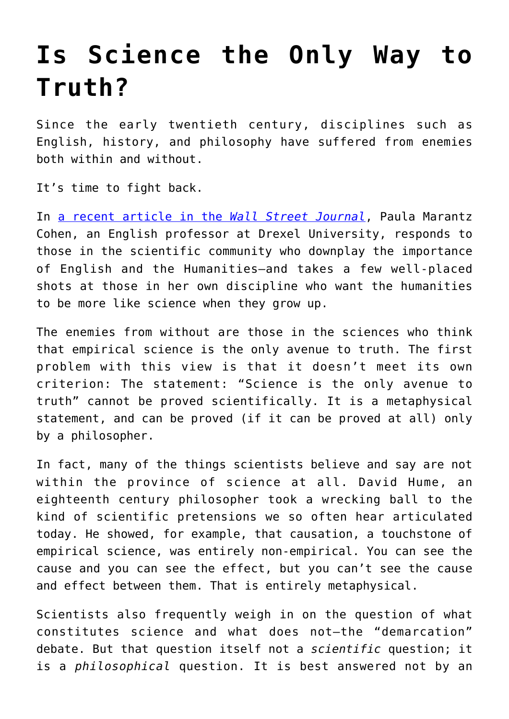## **[Is Science the Only Way to](https://intellectualtakeout.org/2017/07/is-science-the-only-way-to-truth/) [Truth?](https://intellectualtakeout.org/2017/07/is-science-the-only-way-to-truth/)**

Since the early twentieth century, disciplines such as English, history, and philosophy have suffered from enemies both within and without.

It's time to fight back.

In [a recent article in the](https://www.wsj.com/articles/the-danger-of-progressives-inhumanity-to-the-humanities-1501270819) *[Wall Street Journal](https://www.wsj.com/articles/the-danger-of-progressives-inhumanity-to-the-humanities-1501270819)*, Paula Marantz Cohen, an English professor at Drexel University, responds to those in the scientific community who downplay the importance of English and the Humanities—and takes a few well-placed shots at those in her own discipline who want the humanities to be more like science when they grow up.

The enemies from without are those in the sciences who think that empirical science is the only avenue to truth. The first problem with this view is that it doesn't meet its own criterion: The statement: "Science is the only avenue to truth" cannot be proved scientifically. It is a metaphysical statement, and can be proved (if it can be proved at all) only by a philosopher.

In fact, many of the things scientists believe and say are not within the province of science at all. David Hume, an eighteenth century philosopher took a wrecking ball to the kind of scientific pretensions we so often hear articulated today. He showed, for example, that causation, a touchstone of empirical science, was entirely non-empirical. You can see the cause and you can see the effect, but you can't see the cause and effect between them. That is entirely metaphysical.

Scientists also frequently weigh in on the question of what constitutes science and what does not—the "demarcation" debate. But that question itself not a *scientific* question; it is a *philosophical* question. It is best answered not by an